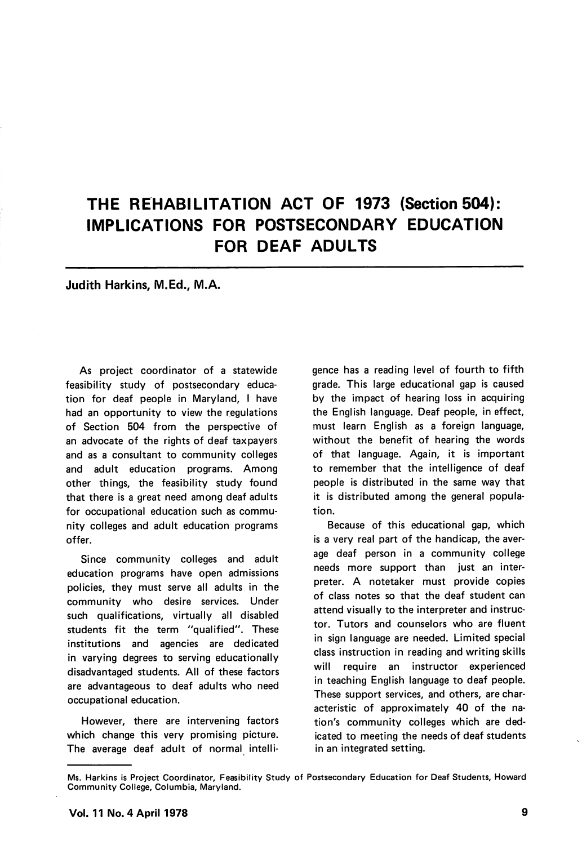## THE REHABILITATION ACT OF 1973 (Section 504): IMPLICATIONS FOR POSTSECONDARY EDUCATION FOR DEAF ADULTS

## Judith Harkins, M.Ed., M.A.

As project coordinator of a statewide feasibility study of postsecondary educa tion for deaf people in Maryland, I have had an opportunity to view the regulations of Section 504 from the perspective of an advocate of the rights of deaf taxpayers and as a consultant to community colleges and adult education programs. Among other things, the feasibility study found that there is a great need among deaf adults for occupational education such as commu nity colleges and adult education programs offer.

Since community colleges and adult education programs have open admissions policies, they must serve all adults in the community who desire services. Under such qualifications, virtually all disabled students fit the term "qualified". These institutions and agencies are dedicated in varying degrees to serving educationally disadvantaged students. All of these factors are advantageous to deaf adults who need occupational education.

However, there are intervening factors which change this very promising picture. The average deaf adult of normal intelli

gence has a reading level of fourth to fifth grade. This large educational gap is caused by the impact of hearing loss in acquiring the English language. Deaf people, in effect, must learn English as a foreign language, without the benefit of hearing the words of that language. Again, it is important to remember that the intelligence of deaf people is distributed in the same way that it is distributed among the general popula tion.

Because of this educational gap, which is a very real part of the handicap, the aver age deaf person in a community college needs more support than just an inter preter. A notetaker must provide copies of class notes so that the deaf student can attend visually to the interpreter and instruc tor. Tutors and counselors who are fluent in sign language are needed. Limited special class instruction in reading and writing skills will require an instructor experienced in teaching English language to deaf people. These support services, and others, are char acteristic of approximately 40 of the na tion's community colleges which are ded icated to meeting the needs of deaf students in an integrated setting.

Ms. Harkins is Project Coordinator, Feasibility Study of Postsecondary Education for Deaf Students, Howard Community College, Columbia, Maryland.